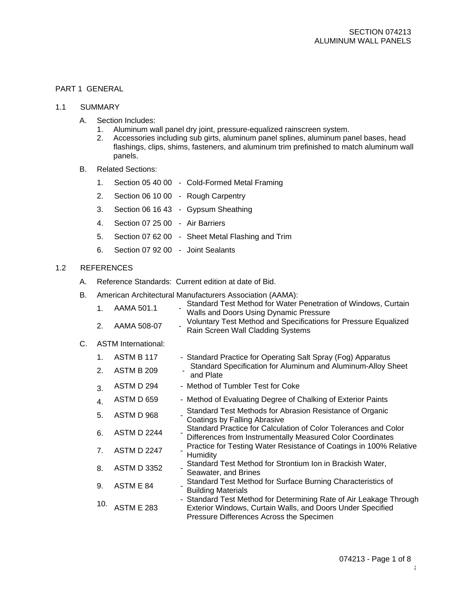# PART 1 GENERAL

- 1.1 SUMMARY
	- A. Section Includes:
		- 1. Aluminum wall panel dry joint, pressure-equalized rainscreen system.<br>2. Accessories including sub girts, aluminum panel splines, aluminum pa
		- 2. Accessories including sub girts, aluminum panel splines, aluminum panel bases, head flashings, clips, shims, fasteners, and aluminum trim prefinished to match aluminum wall panels.
	- B. Related Sections:
		- 1. Section 05 40 00 Cold-Formed Metal Framing
		- 2. Section 06 10 00 Rough Carpentry
		- 3. Section 06 16 43 Gypsum Sheathing
		- 4. Section 07 25 00 Air Barriers
		- 5. Section 07 62 00 Sheet Metal Flashing and Trim
		- 6. Section 07 92 00 Joint Sealants

# 1.2 REFERENCES

- A. Reference Standards: Current edition at date of Bid.
- B. American Architectural Manufacturers Association (AAMA):

| $1 \quad$      | AAMA 501.1  | Standard Test Method for Water Penetration of Windows, Curtain<br>Walls and Doors Using Dynamic Pressure |
|----------------|-------------|----------------------------------------------------------------------------------------------------------|
| 2 <sub>1</sub> | AAMA 508-07 | Voluntary Test Method and Specifications for Pressure Equalized<br>Rain Screen Wall Cladding Systems     |

### C. ASTM International:

| 1 <sub>1</sub><br>2. | ASTM B 117<br>ASTM B 209 | - Standard Practice for Operating Salt Spray (Fog) Apparatus<br>Standard Specification for Aluminum and Aluminum-Alloy Sheet                                                 |
|----------------------|--------------------------|------------------------------------------------------------------------------------------------------------------------------------------------------------------------------|
| 3.                   | ASTM D 294               | and Plate<br>- Method of Tumbler Test for Coke                                                                                                                               |
| 4.                   | ASTM D 659               | - Method of Evaluating Degree of Chalking of Exterior Paints                                                                                                                 |
| 5.                   | ASTM D 968               | Standard Test Methods for Abrasion Resistance of Organic<br>Coatings by Falling Abrasive                                                                                     |
| 6.                   | <b>ASTM D 2244</b>       | Standard Practice for Calculation of Color Tolerances and Color<br>Differences from Instrumentally Measured Color Coordinates                                                |
| 7.                   | <b>ASTM D 2247</b>       | Practice for Testing Water Resistance of Coatings in 100% Relative<br>Humidity                                                                                               |
| 8.                   | <b>ASTM D 3352</b>       | Standard Test Method for Strontium Ion in Brackish Water,<br>Seawater, and Brines                                                                                            |
| 9.                   | ASTM E 84                | Standard Test Method for Surface Burning Characteristics of<br><b>Building Materials</b>                                                                                     |
| 10.                  | <b>ASTM E 283</b>        | - Standard Test Method for Determining Rate of Air Leakage Through<br>Exterior Windows, Curtain Walls, and Doors Under Specified<br>Pressure Differences Across the Specimen |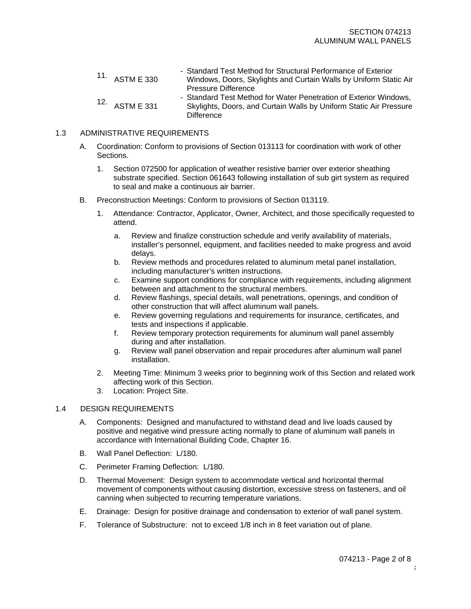- 11. ASTM E <sup>330</sup> - Standard Test Method for Structural Performance of Exterior Windows, Doors, Skylights and Curtain Walls by Uniform Static Air Pressure Difference
- 12. ASTM E <sup>331</sup> - Standard Test Method for Water Penetration of Exterior Windows, Skylights, Doors, and Curtain Walls by Uniform Static Air Pressure **Difference**

### 1.3 ADMINISTRATIVE REQUIREMENTS

- A. Coordination: Conform to provisions of Section 013113 for coordination with work of other Sections.
	- 1. Section 072500 for application of weather resistive barrier over exterior sheathing substrate specified. Section 061643 following installation of sub girt system as required to seal and make a continuous air barrier.
- B. Preconstruction Meetings: Conform to provisions of Section 013119.
	- 1. Attendance: Contractor, Applicator, Owner, Architect, and those specifically requested to attend.
		- a. Review and finalize construction schedule and verify availability of materials, installer's personnel, equipment, and facilities needed to make progress and avoid delays.
		- b. Review methods and procedures related to aluminum metal panel installation, including manufacturer's written instructions.
		- c. Examine support conditions for compliance with requirements, including alignment between and attachment to the structural members.
		- d. Review flashings, special details, wall penetrations, openings, and condition of other construction that will affect aluminum wall panels.
		- e. Review governing regulations and requirements for insurance, certificates, and tests and inspections if applicable.
		- f. Review temporary protection requirements for aluminum wall panel assembly during and after installation.
		- g. Review wall panel observation and repair procedures after aluminum wall panel installation.
	- 2. Meeting Time: Minimum 3 weeks prior to beginning work of this Section and related work affecting work of this Section.
	- 3. Location: Project Site.

### 1.4 DESIGN REQUIREMENTS

- A. Components: Designed and manufactured to withstand dead and live loads caused by positive and negative wind pressure acting normally to plane of aluminum wall panels in accordance with International Building Code, Chapter 16.
- B. Wall Panel Deflection: L/180.
- C. Perimeter Framing Deflection: L/180.
- D. Thermal Movement: Design system to accommodate vertical and horizontal thermal movement of components without causing distortion, excessive stress on fasteners, and oil canning when subjected to recurring temperature variations.
- E. Drainage: Design for positive drainage and condensation to exterior of wall panel system.
- F. Tolerance of Substructure: not to exceed 1/8 inch in 8 feet variation out of plane.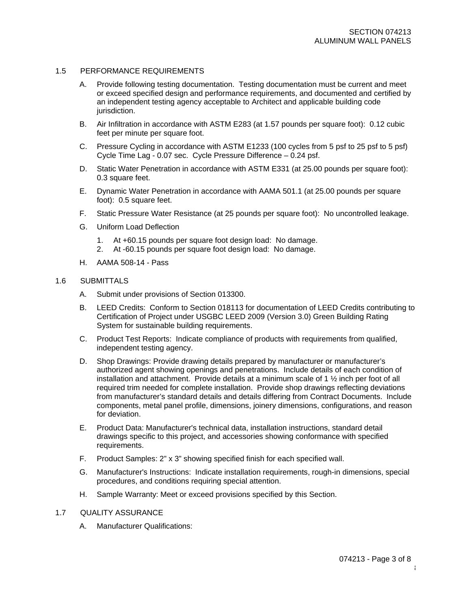### 1.5 PERFORMANCE REQUIREMENTS

- A. Provide following testing documentation. Testing documentation must be current and meet or exceed specified design and performance requirements, and documented and certified by an independent testing agency acceptable to Architect and applicable building code jurisdiction.
- B. Air Infiltration in accordance with ASTM E283 (at 1.57 pounds per square foot): 0.12 cubic feet per minute per square foot.
- C. Pressure Cycling in accordance with ASTM E1233 (100 cycles from 5 psf to 25 psf to 5 psf) Cycle Time Lag - 0.07 sec. Cycle Pressure Difference – 0.24 psf.
- D. Static Water Penetration in accordance with ASTM E331 (at 25.00 pounds per square foot): 0.3 square feet.
- E. Dynamic Water Penetration in accordance with AAMA 501.1 (at 25.00 pounds per square foot): 0.5 square feet.
- F. Static Pressure Water Resistance (at 25 pounds per square foot): No uncontrolled leakage.
- G. Uniform Load Deflection
	- 1. At +60.15 pounds per square foot design load: No damage.
	- 2. At -60.15 pounds per square foot design load: No damage.
- H. AAMA 508-14 Pass

#### 1.6 SUBMITTALS

- A. Submit under provisions of Section 013300.
- B. LEED Credits: Conform to Section 018113 for documentation of LEED Credits contributing to Certification of Project under USGBC LEED 2009 (Version 3.0) Green Building Rating System for sustainable building requirements.
- C. Product Test Reports: Indicate compliance of products with requirements from qualified, independent testing agency.
- D. Shop Drawings: Provide drawing details prepared by manufacturer or manufacturer's authorized agent showing openings and penetrations. Include details of each condition of installation and attachment. Provide details at a minimum scale of 1 ½ inch per foot of all required trim needed for complete installation. Provide shop drawings reflecting deviations from manufacturer's standard details and details differing from Contract Documents. Include components, metal panel profile, dimensions, joinery dimensions, configurations, and reason for deviation.
- E. Product Data: Manufacturer's technical data, installation instructions, standard detail drawings specific to this project, and accessories showing conformance with specified requirements.
- F. Product Samples: 2" x 3" showing specified finish for each specified wall.
- G. Manufacturer's Instructions: Indicate installation requirements, rough-in dimensions, special procedures, and conditions requiring special attention.
- H. Sample Warranty: Meet or exceed provisions specified by this Section.

### 1.7 QUALITY ASSURANCE

A. Manufacturer Qualifications: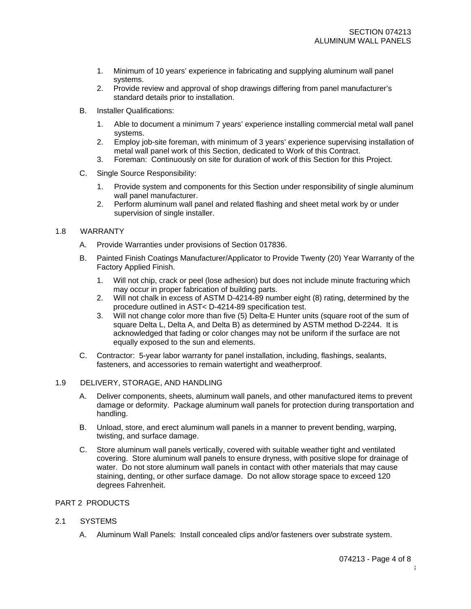- 1. Minimum of 10 years' experience in fabricating and supplying aluminum wall panel systems.
- 2. Provide review and approval of shop drawings differing from panel manufacturer's standard details prior to installation.
- B. Installer Qualifications:
	- 1. Able to document a minimum 7 years' experience installing commercial metal wall panel systems.
	- 2. Employ job-site foreman, with minimum of 3 years' experience supervising installation of metal wall panel work of this Section, dedicated to Work of this Contract.
	- 3. Foreman: Continuously on site for duration of work of this Section for this Project.
- C. Single Source Responsibility:
	- 1. Provide system and components for this Section under responsibility of single aluminum wall panel manufacturer.
	- 2. Perform aluminum wall panel and related flashing and sheet metal work by or under supervision of single installer.

### 1.8 WARRANTY

- A. Provide Warranties under provisions of Section 017836.
- B. Painted Finish Coatings Manufacturer/Applicator to Provide Twenty (20) Year Warranty of the Factory Applied Finish.
	- 1. Will not chip, crack or peel (lose adhesion) but does not include minute fracturing which may occur in proper fabrication of building parts.
	- 2. Will not chalk in excess of ASTM D-4214-89 number eight (8) rating, determined by the procedure outlined in AST< D-4214-89 specification test.
	- 3. Will not change color more than five (5) Delta-E Hunter units (square root of the sum of square Delta L, Delta A, and Delta B) as determined by ASTM method D-2244. It is acknowledged that fading or color changes may not be uniform if the surface are not equally exposed to the sun and elements.
- C. Contractor: 5-year labor warranty for panel installation, including, flashings, sealants, fasteners, and accessories to remain watertight and weatherproof.

### 1.9 DELIVERY, STORAGE, AND HANDLING

- A. Deliver components, sheets, aluminum wall panels, and other manufactured items to prevent damage or deformity. Package aluminum wall panels for protection during transportation and handling.
- B. Unload, store, and erect aluminum wall panels in a manner to prevent bending, warping, twisting, and surface damage.
- C. Store aluminum wall panels vertically, covered with suitable weather tight and ventilated covering. Store aluminum wall panels to ensure dryness, with positive slope for drainage of water. Do not store aluminum wall panels in contact with other materials that may cause staining, denting, or other surface damage. Do not allow storage space to exceed 120 degrees Fahrenheit.

### PART 2 PRODUCTS

- 2.1 SYSTEMS
	- A. Aluminum Wall Panels: Install concealed clips and/or fasteners over substrate system.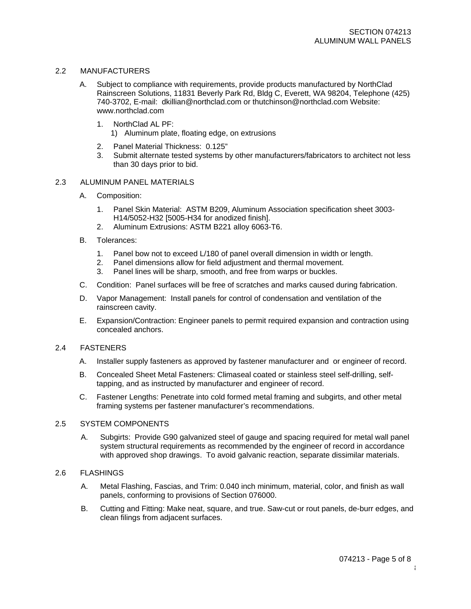### 2.2 MANUFACTURERS

- A. Subject to compliance with requirements, provide products manufactured by NorthClad Rainscreen Solutions, 11831 Beverly Park Rd, Bldg C, Everett, WA 98204, Telephone (425) 740-3702, E-mail: [dkillian@northclad.com](mailto:dkillian@northclad.com) or [thutchinson@northclad.com](mailto:thutchinson@northclad.com) Website: [www.northclad.com](http://www.northclad.com/)
	- 1. NorthClad AL PF:
		- 1) Aluminum plate, floating edge, on extrusions
	- 2. Panel Material Thickness: 0.125"
	- 3. Submit alternate tested systems by other manufacturers/fabricators to architect not less than 30 days prior to bid.

### 2.3 ALUMINUM PANEL MATERIALS

- A. Composition:
	- 1. Panel Skin Material: ASTM B209, Aluminum Association specification sheet 3003- H14/5052-H32 [5005-H34 for anodized finish].
	- 2. Aluminum Extrusions: ASTM B221 alloy 6063-T6.
- B. Tolerances:
	- 1. Panel bow not to exceed L/180 of panel overall dimension in width or length.<br>2. Panel dimensions allow for field adiustment and thermal movement.
	- Panel dimensions allow for field adjustment and thermal movement.
	- 3. Panel lines will be sharp, smooth, and free from warps or buckles.
- C. Condition: Panel surfaces will be free of scratches and marks caused during fabrication.
- D. Vapor Management: Install panels for control of condensation and ventilation of the rainscreen cavity.
- E. Expansion/Contraction: Engineer panels to permit required expansion and contraction using concealed anchors.

### 2.4 FASTENERS

- A. Installer supply fasteners as approved by fastener manufacturer and or engineer of record.
- B. Concealed Sheet Metal Fasteners: Climaseal coated or stainless steel self-drilling, selftapping, and as instructed by manufacturer and engineer of record.
- C. Fastener Lengths: Penetrate into cold formed metal framing and subgirts, and other metal framing systems per fastener manufacturer's recommendations.

### 2.5 SYSTEM COMPONENTS

A. Subgirts: Provide G90 galvanized steel of gauge and spacing required for metal wall panel system structural requirements as recommended by the engineer of record in accordance with approved shop drawings. To avoid galvanic reaction, separate dissimilar materials.

### 2.6 FLASHINGS

- A. Metal Flashing, Fascias, and Trim: 0.040 inch minimum, material, color, and finish as wall panels, conforming to provisions of Section 076000.
- B. Cutting and Fitting: Make neat, square, and true. Saw-cut or rout panels, de-burr edges, and clean filings from adjacent surfaces.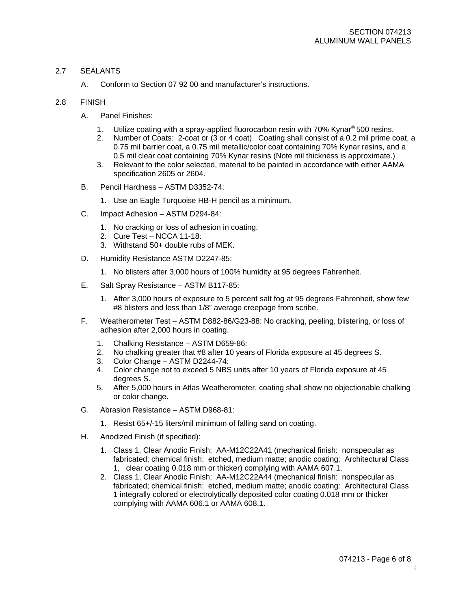## 2.7 SEALANTS

A. Conform to Section 07 92 00 and manufacturer's instructions.

## 2.8 FINISH

- A. Panel Finishes:
	- 1. Utilize coating with a spray-applied fluorocarbon resin with 70% Kynar<sup>®</sup> 500 resins.
	- 2. Number of Coats: 2-coat or (3 or 4 coat). Coating shall consist of a 0.2 mil prime coat, a 0.75 mil barrier coat, a 0.75 mil metallic/color coat containing 70% Kynar resins, and a 0.5 mil clear coat containing 70% Kynar resins (Note mil thickness is approximate.)
	- 3. Relevant to the color selected, material to be painted in accordance with either AAMA specification 2605 or 2604.
- B. Pencil Hardness ASTM D3352-74:
	- 1. Use an Eagle Turquoise HB-H pencil as a minimum.
- C. Impact Adhesion ASTM D294-84:
	- 1. No cracking or loss of adhesion in coating.
	- 2. Cure Test NCCA 11-18:
	- 3. Withstand 50+ double rubs of MEK.
- D. Humidity Resistance ASTM D2247-85:
	- 1. No blisters after 3,000 hours of 100% humidity at 95 degrees Fahrenheit.
- E. Salt Spray Resistance ASTM B117-85:
	- 1. After 3,000 hours of exposure to 5 percent salt fog at 95 degrees Fahrenheit, show few #8 blisters and less than 1/8" average creepage from scribe.
- F. Weatherometer Test ASTM D882-86/G23-88: No cracking, peeling, blistering, or loss of adhesion after 2,000 hours in coating.
	- 1. Chalking Resistance ASTM D659-86:
	- 2. No chalking greater that #8 after 10 years of Florida exposure at 45 degrees S.
	- 3. Color Change ASTM D2244-74:
	- 4. Color change not to exceed 5 NBS units after 10 years of Florida exposure at 45 degrees S.
	- 5. After 5,000 hours in Atlas Weatherometer, coating shall show no objectionable chalking or color change.
- G. Abrasion Resistance ASTM D968-81:
	- 1. Resist 65+/-15 liters/mil minimum of falling sand on coating.
- H. Anodized Finish (if specified):
	- 1. Class 1, Clear Anodic Finish: AA-M12C22A41 (mechanical finish: nonspecular as fabricated; chemical finish: etched, medium matte; anodic coating: Architectural Class 1, clear coating 0.018 mm or thicker) complying with AAMA 607.1.
	- 2. Class 1, Clear Anodic Finish: AA-M12C22A44 (mechanical finish: nonspecular as fabricated; chemical finish: etched, medium matte; anodic coating: Architectural Class 1 integrally colored or electrolytically deposited color coating 0.018 mm or thicker complying with AAMA 606.1 or AAMA 608.1.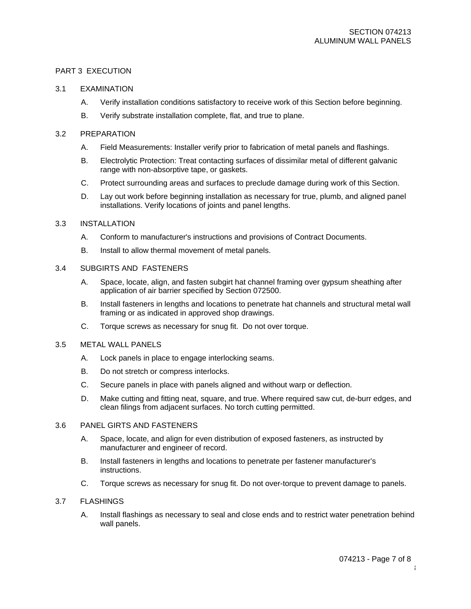### PART 3 EXECUTION

### 3.1 EXAMINATION

- A. Verify installation conditions satisfactory to receive work of this Section before beginning.
- B. Verify substrate installation complete, flat, and true to plane.

### 3.2 PREPARATION

- A. Field Measurements: Installer verify prior to fabrication of metal panels and flashings.
- B. Electrolytic Protection: Treat contacting surfaces of dissimilar metal of different galvanic range with non-absorptive tape, or gaskets.
- C. Protect surrounding areas and surfaces to preclude damage during work of this Section.
- D. Lay out work before beginning installation as necessary for true, plumb, and aligned panel installations. Verify locations of joints and panel lengths.

### 3.3 INSTALLATION

- A. Conform to manufacturer's instructions and provisions of Contract Documents.
- B. Install to allow thermal movement of metal panels.

## 3.4 SUBGIRTS AND FASTENERS

- A. Space, locate, align, and fasten subgirt hat channel framing over gypsum sheathing after application of air barrier specified by Section 072500.
- B. Install fasteners in lengths and locations to penetrate hat channels and structural metal wall framing or as indicated in approved shop drawings.
- C. Torque screws as necessary for snug fit. Do not over torque.

### 3.5 METAL WALL PANELS

- A. Lock panels in place to engage interlocking seams.
- B. Do not stretch or compress interlocks.
- C. Secure panels in place with panels aligned and without warp or deflection.
- D. Make cutting and fitting neat, square, and true. Where required saw cut, de-burr edges, and clean filings from adjacent surfaces. No torch cutting permitted.

### 3.6 PANEL GIRTS AND FASTENERS

- A. Space, locate, and align for even distribution of exposed fasteners, as instructed by manufacturer and engineer of record.
- B. Install fasteners in lengths and locations to penetrate per fastener manufacturer's instructions.
- C. Torque screws as necessary for snug fit. Do not over-torque to prevent damage to panels.

### 3.7 FLASHINGS

A. Install flashings as necessary to seal and close ends and to restrict water penetration behind wall panels.